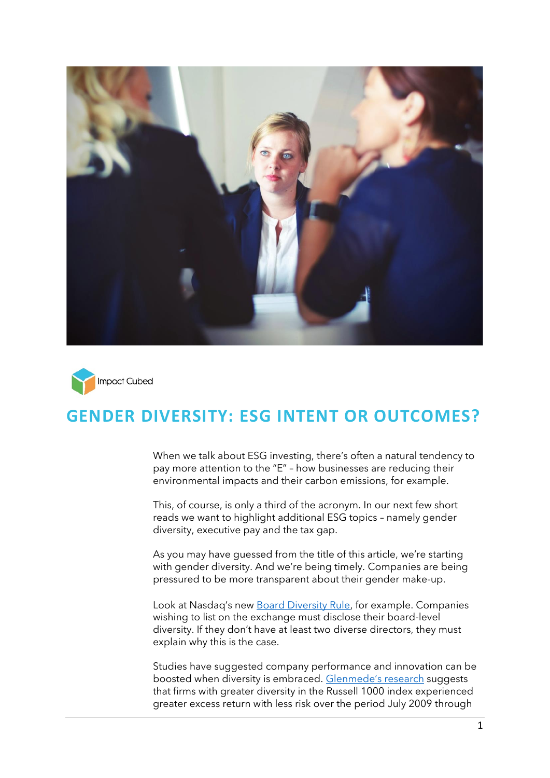



# **GENDER DIVERSITY: ESG INTENT OR OUTCOMES?**

When we talk about ESG investing, there's often a natural tendency to pay more attention to the "E" – how businesses are reducing their environmental impacts and their carbon emissions, for example.

This, of course, is only a third of the acronym. In our next few short reads we want to highlight additional ESG topics – namely gender diversity, executive pay and the tax gap.

As you may have guessed from the title of this article, we're starting with gender diversity. And we're being timely. Companies are being pressured to be more transparent about their gender make-up.

Look at Nasdaq's new **Board Diversity Rule**, for example. Companies wishing to list on the exchange must disclose their board-level diversity. If they don't have at least two diverse directors, they must explain why this is the case.

Studies have suggested company performance and innovation can be boosted when diversity is embraced. [Glenmede's research](https://www.glenmede.com/insights/gender-lens-investing-public-markets-more-than-women-at-top/) suggests that firms with greater diversity in the Russell 1000 index experienced greater excess return with less risk over the period July 2009 through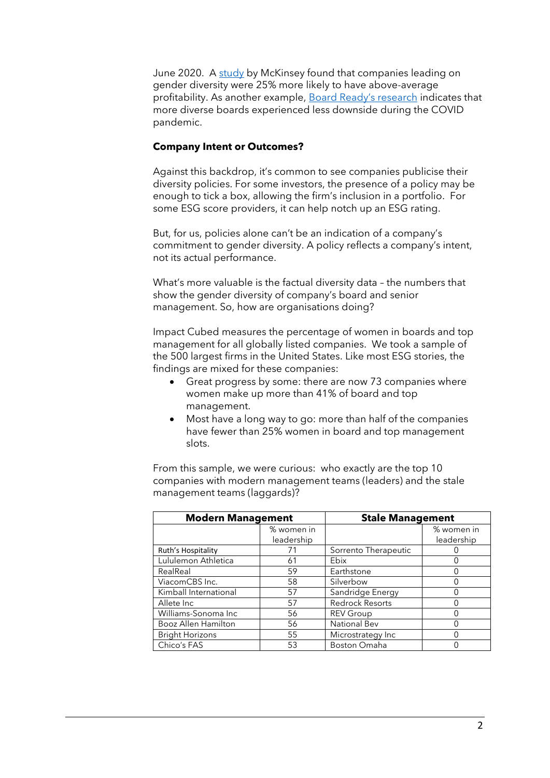June 2020. A [study](https://www.mckinsey.com/featured-insights/diversity-and-inclusion/diversity-wins-how-inclusion-matters) by McKinsey found that companies leading on gender diversity were 25% more likely to have above-average profitability. As another example, [Board Ready's research](https://www.boardready.io/report-july-2021) indicates that more diverse boards experienced less downside during the COVID pandemic.

### **Company Intent or Outcomes?**

Against this backdrop, it's common to see companies publicise their diversity policies. For some investors, the presence of a policy may be enough to tick a box, allowing the firm's inclusion in a portfolio. For some ESG score providers, it can help notch up an ESG rating.

But, for us, policies alone can't be an indication of a company's commitment to gender diversity. A policy reflects a company's intent, not its actual performance.

What's more valuable is the factual diversity data – the numbers that show the gender diversity of company's board and senior management. So, how are organisations doing?

Impact Cubed measures the percentage of women in boards and top management for all globally listed companies. We took a sample of the 500 largest firms in the United States. Like most ESG stories, the findings are mixed for these companies:

- Great progress by some: there are now 73 companies where women make up more than 41% of board and top management.
- Most have a long way to go: more than half of the companies have fewer than 25% women in board and top management slots.

From this sample, we were curious: who exactly are the top 10 companies with modern management teams (leaders) and the stale management teams (laggards)?

| <b>Modern Management</b> |            | <b>Stale Management</b> |            |
|--------------------------|------------|-------------------------|------------|
|                          | % women in |                         | % women in |
|                          | leadership |                         | leadership |
| Ruth's Hospitality       | 71         | Sorrento Therapeutic    |            |
| Lululemon Athletica      | 61         | Ebix                    |            |
| RealReal                 | 59         | Earthstone              |            |
| ViacomCBS Inc.           | 58         | Silverbow               |            |
| Kimball International    | 57         | Sandridge Energy        |            |
| Allete Inc               | 57         | <b>Redrock Resorts</b>  |            |
| Williams-Sonoma Inc      | 56         | <b>REV Group</b>        |            |
| Booz Allen Hamilton      | 56         | <b>National Bev</b>     |            |
| <b>Bright Horizons</b>   | 55         | Microstrategy Inc       |            |
| Chico's FAS              | 53         | Boston Omaha            |            |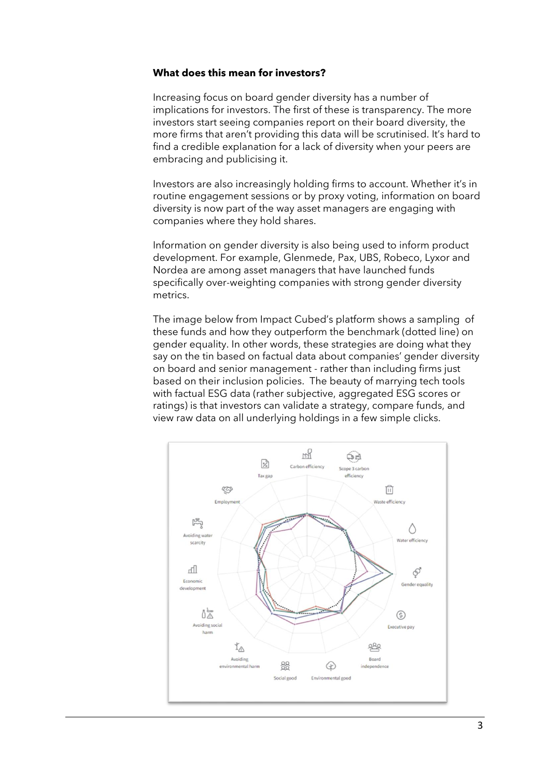### **What does this mean for investors?**

Increasing focus on board gender diversity has a number of implications for investors. The first of these is transparency. The more investors start seeing companies report on their board diversity, the more firms that aren't providing this data will be scrutinised. It's hard to find a credible explanation for a lack of diversity when your peers are embracing and publicising it.

Investors are also increasingly holding firms to account. Whether it's in routine engagement sessions or by proxy voting, information on board diversity is now part of the way asset managers are engaging with companies where they hold shares.

Information on gender diversity is also being used to inform product development. For example, Glenmede, Pax, UBS, Robeco, Lyxor and Nordea are among asset managers that have launched funds specifically over-weighting companies with strong gender diversity metrics.

The image below from Impact Cubed's platform shows a sampling of these funds and how they outperform the benchmark (dotted line) on gender equality. In other words, these strategies are doing what they say on the tin based on factual data about companies' gender diversity on board and senior management - rather than including firms just based on their inclusion policies. The beauty of marrying tech tools with factual ESG data (rather subjective, aggregated ESG scores or ratings) is that investors can validate a strategy, compare funds, and view raw data on all underlying holdings in a few simple clicks.